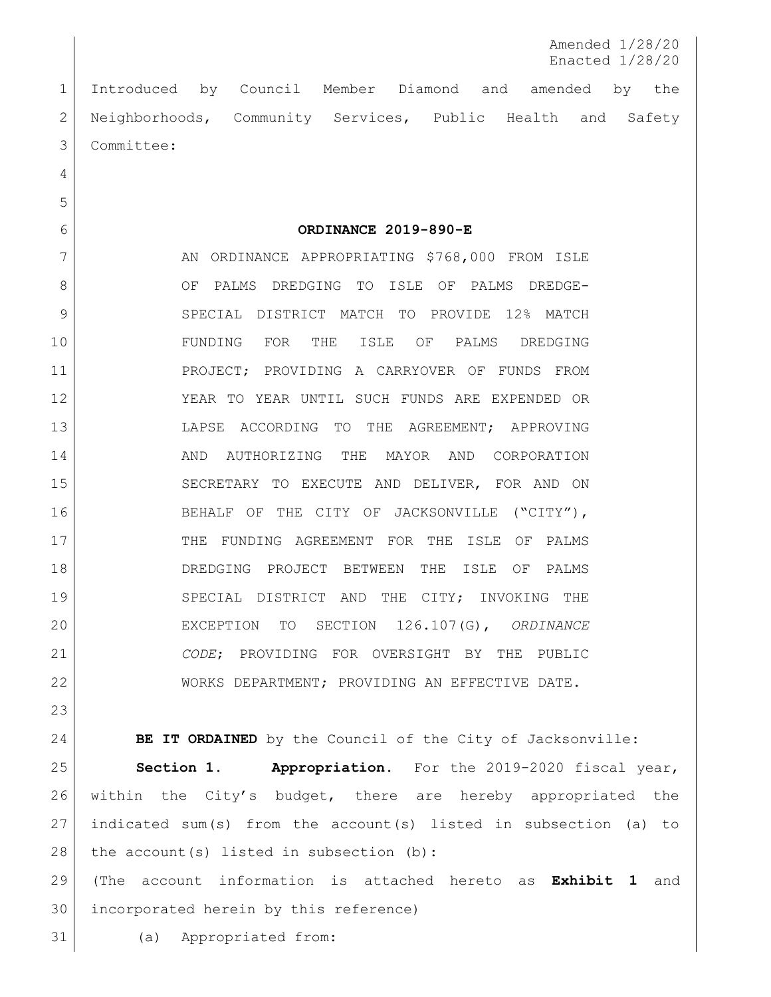Amended 1/28/20 Enacted 1/28/20

 Introduced by Council Member Diamond and amended by the Neighborhoods, Community Services, Public Health and Safety Committee:

**ORDINANCE 2019-890-E**

7 AN ORDINANCE APPROPRIATING \$768,000 FROM ISLE 8 OF PALMS DREDGING TO ISLE OF PALMS DREDGE- SPECIAL DISTRICT MATCH TO PROVIDE 12% MATCH FUNDING FOR THE ISLE OF PALMS DREDGING PROJECT; PROVIDING A CARRYOVER OF FUNDS FROM YEAR TO YEAR UNTIL SUCH FUNDS ARE EXPENDED OR LAPSE ACCORDING TO THE AGREEMENT; APPROVING AND AUTHORIZING THE MAYOR AND CORPORATION SECRETARY TO EXECUTE AND DELIVER, FOR AND ON BEHALF OF THE CITY OF JACKSONVILLE ("CITY"), THE FUNDING AGREEMENT FOR THE ISLE OF PALMS DREDGING PROJECT BETWEEN THE ISLE OF PALMS SPECIAL DISTRICT AND THE CITY; INVOKING THE EXCEPTION TO SECTION 126.107(G), *ORDINANCE CODE*; PROVIDING FOR OVERSIGHT BY THE PUBLIC WORKS DEPARTMENT; PROVIDING AN EFFECTIVE DATE.

**BE IT ORDAINED** by the Council of the City of Jacksonville:

 **Section 1. Appropriation.** For the 2019-2020 fiscal year, 26 within the City's budget, there are hereby appropriated the indicated sum(s) from the account(s) listed in subsection (a) to 28 the account(s) listed in subsection (b):

 (The account information is attached hereto as **Exhibit 1** and incorporated herein by this reference)

(a) Appropriated from: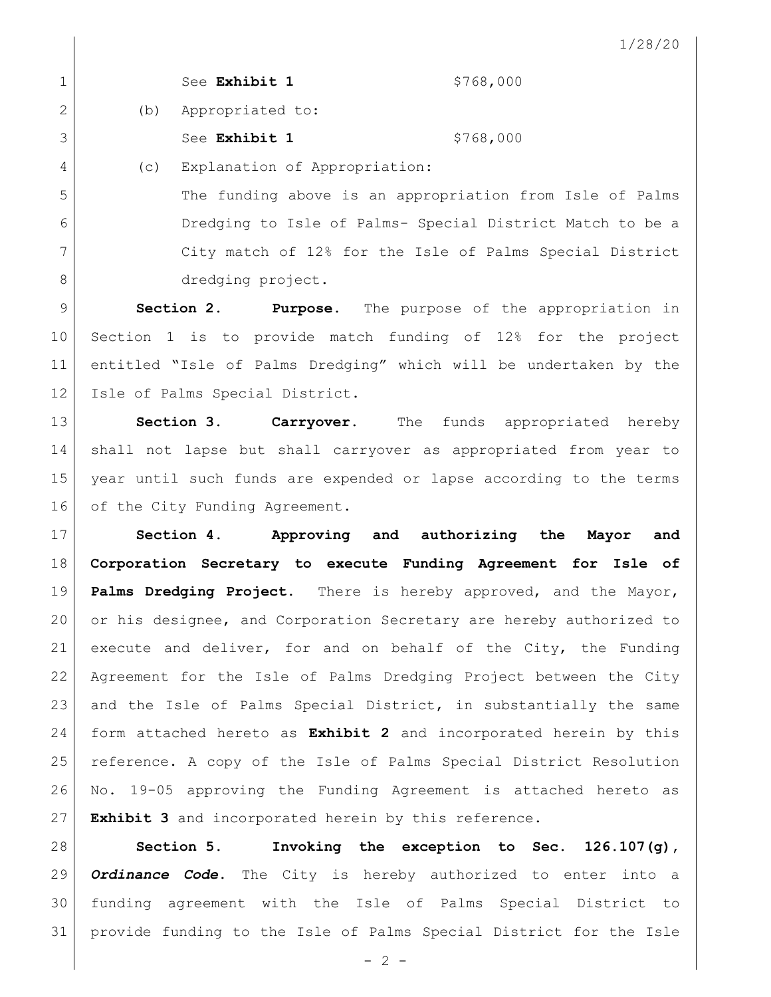| $\circ$<br>$\sqrt{2}$<br>╭<br>$\overline{\phantom{a}}$ |
|--------------------------------------------------------|
|--------------------------------------------------------|

|    |     | See Exhibit 1                                             | \$768,000 |
|----|-----|-----------------------------------------------------------|-----------|
| 2  | (b) | Appropriated to:                                          |           |
| 3  |     | See Exhibit 1                                             | \$768,000 |
| 4  | (C) | Explanation of Appropriation:                             |           |
| .5 |     | The funding above is an appropriation from Isle of Palms  |           |
| 6  |     | Dredging to Isle of Palms- Special District Match to be a |           |

 City match of 12% for the Isle of Palms Special District 8 dredging project.

 **Section 2. Purpose.** The purpose of the appropriation in Section 1 is to provide match funding of 12% for the project entitled "Isle of Palms Dredging" which will be undertaken by the 12 | Isle of Palms Special District.

 **Section 3. Carryover.** The funds appropriated hereby shall not lapse but shall carryover as appropriated from year to year until such funds are expended or lapse according to the terms 16 of the City Funding Agreement.

 **Section 4. Approving and authorizing the Mayor and Corporation Secretary to execute Funding Agreement for Isle of Palms Dredging Project.** There is hereby approved, and the Mayor, or his designee, and Corporation Secretary are hereby authorized to execute and deliver, for and on behalf of the City, the Funding Agreement for the Isle of Palms Dredging Project between the City 23 and the Isle of Palms Special District, in substantially the same form attached hereto as **Exhibit 2** and incorporated herein by this reference. A copy of the Isle of Palms Special District Resolution No. 19-05 approving the Funding Agreement is attached hereto as **Exhibit 3** and incorporated herein by this reference.

 **Section 5. Invoking the exception to Sec. 126.107(g),**  *Ordinance Code***.** The City is hereby authorized to enter into a funding agreement with the Isle of Palms Special District to provide funding to the Isle of Palms Special District for the Isle

 $-2 -$